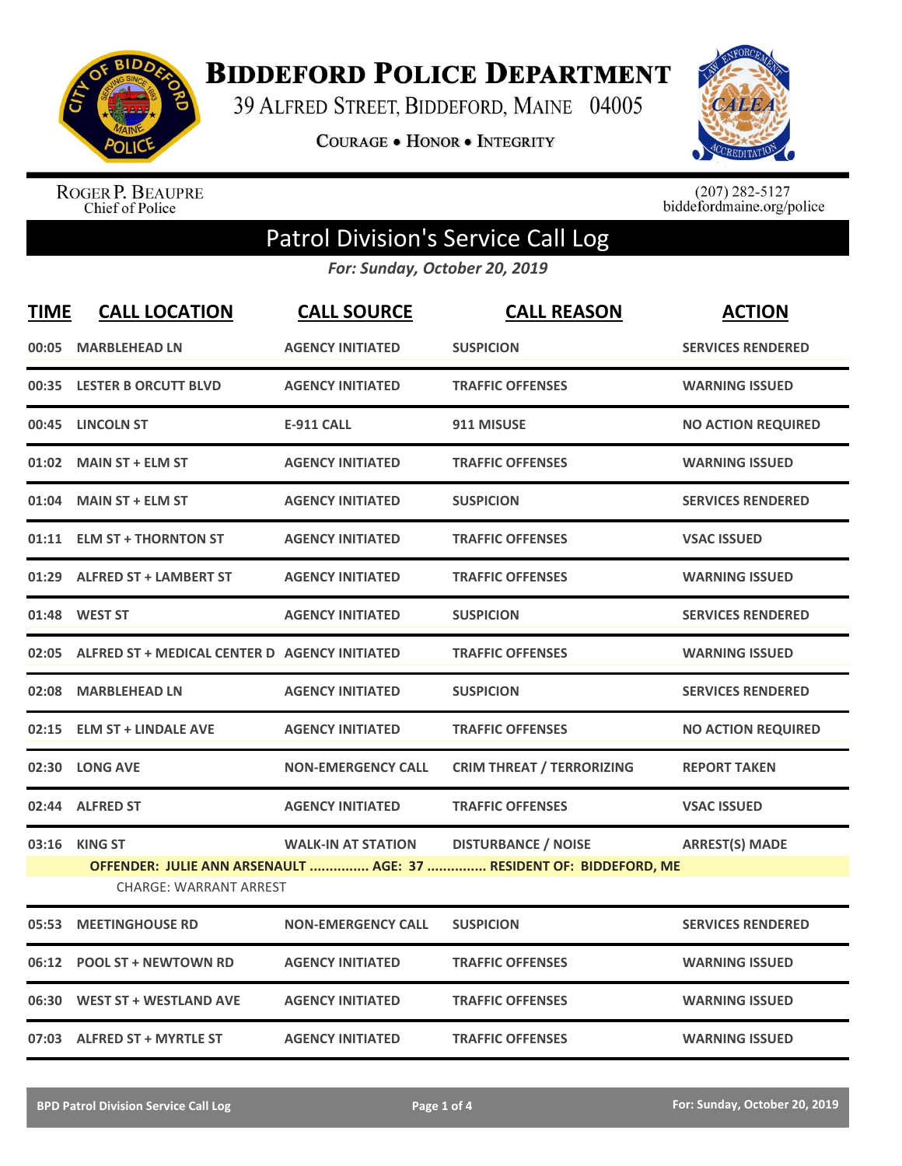

**BIDDEFORD POLICE DEPARTMENT** 

39 ALFRED STREET, BIDDEFORD, MAINE 04005

**COURAGE . HONOR . INTEGRITY** 



ROGER P. BEAUPRE<br>Chief of Police

 $(207)$  282-5127<br>biddefordmaine.org/police

## Patrol Division's Service Call Log

*For: Sunday, October 20, 2019*

| <b>TIME</b> | <b>CALL LOCATION</b>                                | <b>CALL SOURCE</b>        | <b>CALL REASON</b>                                                 | <b>ACTION</b>             |
|-------------|-----------------------------------------------------|---------------------------|--------------------------------------------------------------------|---------------------------|
|             | 00:05 MARBLEHEAD LN                                 | <b>AGENCY INITIATED</b>   | <b>SUSPICION</b>                                                   | <b>SERVICES RENDERED</b>  |
|             | 00:35 LESTER B ORCUTT BLVD                          | <b>AGENCY INITIATED</b>   | <b>TRAFFIC OFFENSES</b>                                            | <b>WARNING ISSUED</b>     |
|             | 00:45 LINCOLN ST                                    | <b>E-911 CALL</b>         | 911 MISUSE                                                         | <b>NO ACTION REQUIRED</b> |
|             | 01:02 MAIN ST + ELM ST                              | <b>AGENCY INITIATED</b>   | <b>TRAFFIC OFFENSES</b>                                            | <b>WARNING ISSUED</b>     |
|             | 01:04 MAIN ST + ELM ST                              | <b>AGENCY INITIATED</b>   | <b>SUSPICION</b>                                                   | <b>SERVICES RENDERED</b>  |
|             | 01:11 ELM ST + THORNTON ST                          | <b>AGENCY INITIATED</b>   | <b>TRAFFIC OFFENSES</b>                                            | <b>VSAC ISSUED</b>        |
|             | 01:29 ALFRED ST + LAMBERT ST                        | <b>AGENCY INITIATED</b>   | <b>TRAFFIC OFFENSES</b>                                            | <b>WARNING ISSUED</b>     |
|             | 01:48 WEST ST                                       | <b>AGENCY INITIATED</b>   | <b>SUSPICION</b>                                                   | <b>SERVICES RENDERED</b>  |
|             | 02:05 ALFRED ST + MEDICAL CENTER D AGENCY INITIATED |                           | <b>TRAFFIC OFFENSES</b>                                            | <b>WARNING ISSUED</b>     |
| 02:08       | <b>MARBLEHEAD LN</b>                                | <b>AGENCY INITIATED</b>   | <b>SUSPICION</b>                                                   | <b>SERVICES RENDERED</b>  |
|             | 02:15 ELM ST + LINDALE AVE                          | <b>AGENCY INITIATED</b>   | <b>TRAFFIC OFFENSES</b>                                            | <b>NO ACTION REQUIRED</b> |
|             | 02:30 LONG AVE                                      | <b>NON-EMERGENCY CALL</b> | <b>CRIM THREAT / TERRORIZING</b>                                   | <b>REPORT TAKEN</b>       |
|             | 02:44 ALFRED ST                                     | <b>AGENCY INITIATED</b>   | <b>TRAFFIC OFFENSES</b>                                            | <b>VSAC ISSUED</b>        |
| 03:16       | <b>KING ST</b>                                      | <b>WALK-IN AT STATION</b> | <b>DISTURBANCE / NOISE</b>                                         | <b>ARREST(S) MADE</b>     |
|             |                                                     |                           | OFFENDER: JULIE ANN ARSENAULT  AGE: 37  RESIDENT OF: BIDDEFORD, ME |                           |
|             | <b>CHARGE: WARRANT ARREST</b>                       |                           |                                                                    |                           |
| 05:53       | <b>MEETINGHOUSE RD</b>                              | <b>NON-EMERGENCY CALL</b> | <b>SUSPICION</b>                                                   | <b>SERVICES RENDERED</b>  |
|             | 06:12 POOL ST + NEWTOWN RD                          | <b>AGENCY INITIATED</b>   | <b>TRAFFIC OFFENSES</b>                                            | <b>WARNING ISSUED</b>     |
|             | 06:30 WEST ST + WESTLAND AVE                        | <b>AGENCY INITIATED</b>   | <b>TRAFFIC OFFENSES</b>                                            | <b>WARNING ISSUED</b>     |
|             | 07:03 ALFRED ST + MYRTLE ST                         | <b>AGENCY INITIATED</b>   | <b>TRAFFIC OFFENSES</b>                                            | <b>WARNING ISSUED</b>     |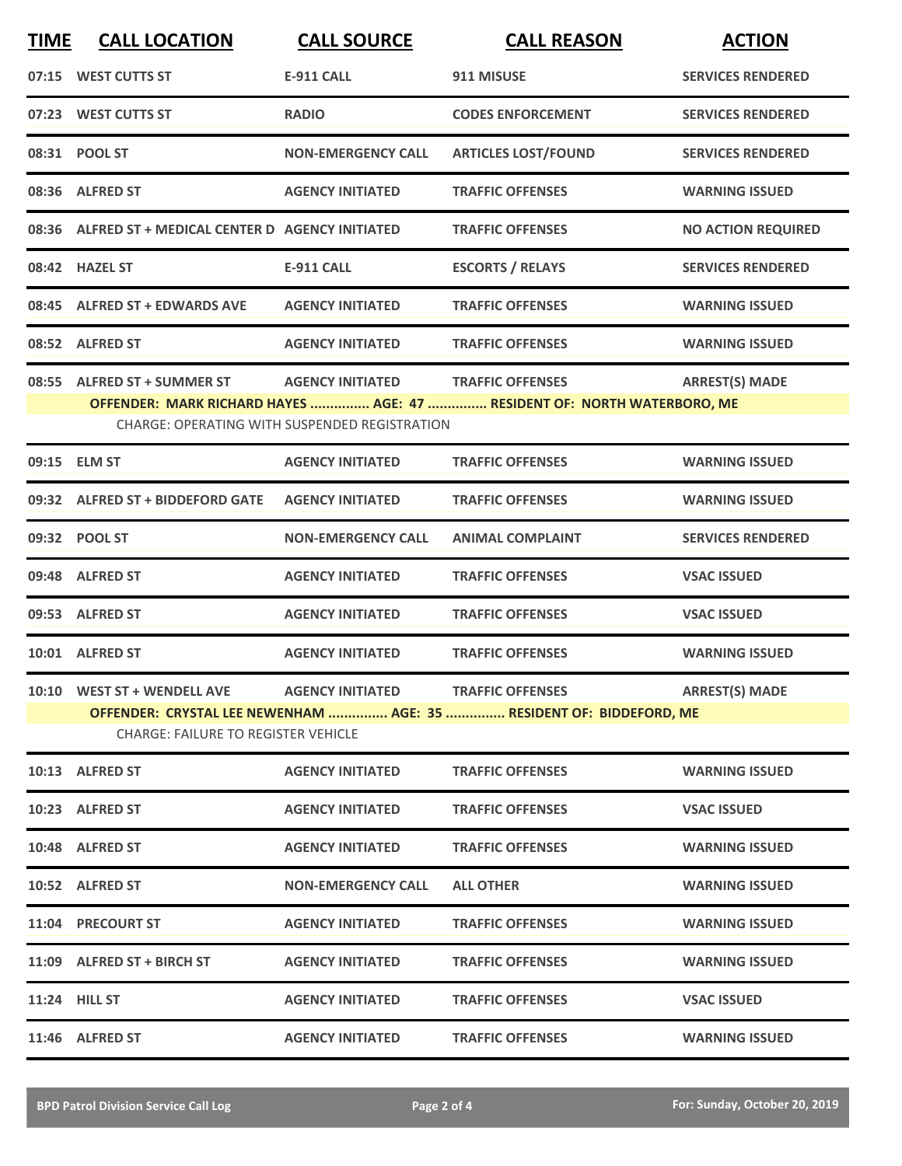| <b>TIME</b> | <b>CALL LOCATION</b>                                                                                                            | <b>CALL SOURCE</b>        | <b>CALL REASON</b>                                            | <b>ACTION</b>             |  |  |
|-------------|---------------------------------------------------------------------------------------------------------------------------------|---------------------------|---------------------------------------------------------------|---------------------------|--|--|
|             | 07:15 WEST CUTTS ST                                                                                                             | <b>E-911 CALL</b>         | 911 MISUSE                                                    | <b>SERVICES RENDERED</b>  |  |  |
|             | 07:23 WEST CUTTS ST                                                                                                             | <b>RADIO</b>              | <b>CODES ENFORCEMENT</b>                                      | <b>SERVICES RENDERED</b>  |  |  |
|             | 08:31 POOL ST                                                                                                                   | <b>NON-EMERGENCY CALL</b> | <b>ARTICLES LOST/FOUND</b>                                    | <b>SERVICES RENDERED</b>  |  |  |
|             | 08:36 ALFRED ST                                                                                                                 | <b>AGENCY INITIATED</b>   | <b>TRAFFIC OFFENSES</b>                                       | <b>WARNING ISSUED</b>     |  |  |
|             | 08:36 ALFRED ST + MEDICAL CENTER D AGENCY INITIATED                                                                             |                           | <b>TRAFFIC OFFENSES</b>                                       | <b>NO ACTION REQUIRED</b> |  |  |
|             | 08:42 HAZEL ST                                                                                                                  | <b>E-911 CALL</b>         | <b>ESCORTS / RELAYS</b>                                       | <b>SERVICES RENDERED</b>  |  |  |
|             | 08:45 ALFRED ST + EDWARDS AVE                                                                                                   | <b>AGENCY INITIATED</b>   | <b>TRAFFIC OFFENSES</b>                                       | <b>WARNING ISSUED</b>     |  |  |
|             | 08:52 ALFRED ST                                                                                                                 | <b>AGENCY INITIATED</b>   | <b>TRAFFIC OFFENSES</b>                                       | <b>WARNING ISSUED</b>     |  |  |
| 08:55       | <b>ALFRED ST + SUMMER ST</b>                                                                                                    | <b>AGENCY INITIATED</b>   | <b>TRAFFIC OFFENSES</b>                                       | <b>ARREST(S) MADE</b>     |  |  |
|             | OFFENDER: MARK RICHARD HAYES  AGE: 47  RESIDENT OF: NORTH WATERBORO, ME<br><b>CHARGE: OPERATING WITH SUSPENDED REGISTRATION</b> |                           |                                                               |                           |  |  |
|             | 09:15 ELM ST                                                                                                                    | <b>AGENCY INITIATED</b>   | <b>TRAFFIC OFFENSES</b>                                       | <b>WARNING ISSUED</b>     |  |  |
|             | 09:32 ALFRED ST + BIDDEFORD GATE                                                                                                | <b>AGENCY INITIATED</b>   | <b>TRAFFIC OFFENSES</b>                                       | <b>WARNING ISSUED</b>     |  |  |
|             | 09:32 POOL ST                                                                                                                   | <b>NON-EMERGENCY CALL</b> | <b>ANIMAL COMPLAINT</b>                                       | <b>SERVICES RENDERED</b>  |  |  |
|             | 09:48 ALFRED ST                                                                                                                 | <b>AGENCY INITIATED</b>   | <b>TRAFFIC OFFENSES</b>                                       | <b>VSAC ISSUED</b>        |  |  |
|             | 09:53 ALFRED ST                                                                                                                 | <b>AGENCY INITIATED</b>   | <b>TRAFFIC OFFENSES</b>                                       | <b>VSAC ISSUED</b>        |  |  |
|             | 10:01 ALFRED ST                                                                                                                 | <b>AGENCY INITIATED</b>   | <b>TRAFFIC OFFENSES</b>                                       | <b>WARNING ISSUED</b>     |  |  |
|             |                                                                                                                                 |                           | 10:10 WEST ST + WENDELL AVE AGENCY INITIATED TRAFFIC OFFENSES | <b>ARREST(S) MADE</b>     |  |  |
|             | OFFENDER: CRYSTAL LEE NEWENHAM  AGE: 35  RESIDENT OF: BIDDEFORD, ME<br><b>CHARGE: FAILURE TO REGISTER VEHICLE</b>               |                           |                                                               |                           |  |  |
|             | 10:13 ALFRED ST                                                                                                                 | <b>AGENCY INITIATED</b>   | <b>TRAFFIC OFFENSES</b>                                       | <b>WARNING ISSUED</b>     |  |  |
|             | 10:23 ALFRED ST                                                                                                                 | <b>AGENCY INITIATED</b>   | <b>TRAFFIC OFFENSES</b>                                       | <b>VSAC ISSUED</b>        |  |  |
|             | 10:48 ALFRED ST                                                                                                                 | <b>AGENCY INITIATED</b>   | <b>TRAFFIC OFFENSES</b>                                       | <b>WARNING ISSUED</b>     |  |  |
|             | 10:52 ALFRED ST                                                                                                                 | <b>NON-EMERGENCY CALL</b> | <b>ALL OTHER</b>                                              | <b>WARNING ISSUED</b>     |  |  |
|             | 11:04 PRECOURT ST                                                                                                               | <b>AGENCY INITIATED</b>   | <b>TRAFFIC OFFENSES</b>                                       | <b>WARNING ISSUED</b>     |  |  |
|             | 11:09 ALFRED ST + BIRCH ST                                                                                                      | <b>AGENCY INITIATED</b>   | <b>TRAFFIC OFFENSES</b>                                       | <b>WARNING ISSUED</b>     |  |  |
|             | <b>11:24 HILL ST</b>                                                                                                            | <b>AGENCY INITIATED</b>   | <b>TRAFFIC OFFENSES</b>                                       | <b>VSAC ISSUED</b>        |  |  |
|             | 11:46 ALFRED ST                                                                                                                 | <b>AGENCY INITIATED</b>   | <b>TRAFFIC OFFENSES</b>                                       | <b>WARNING ISSUED</b>     |  |  |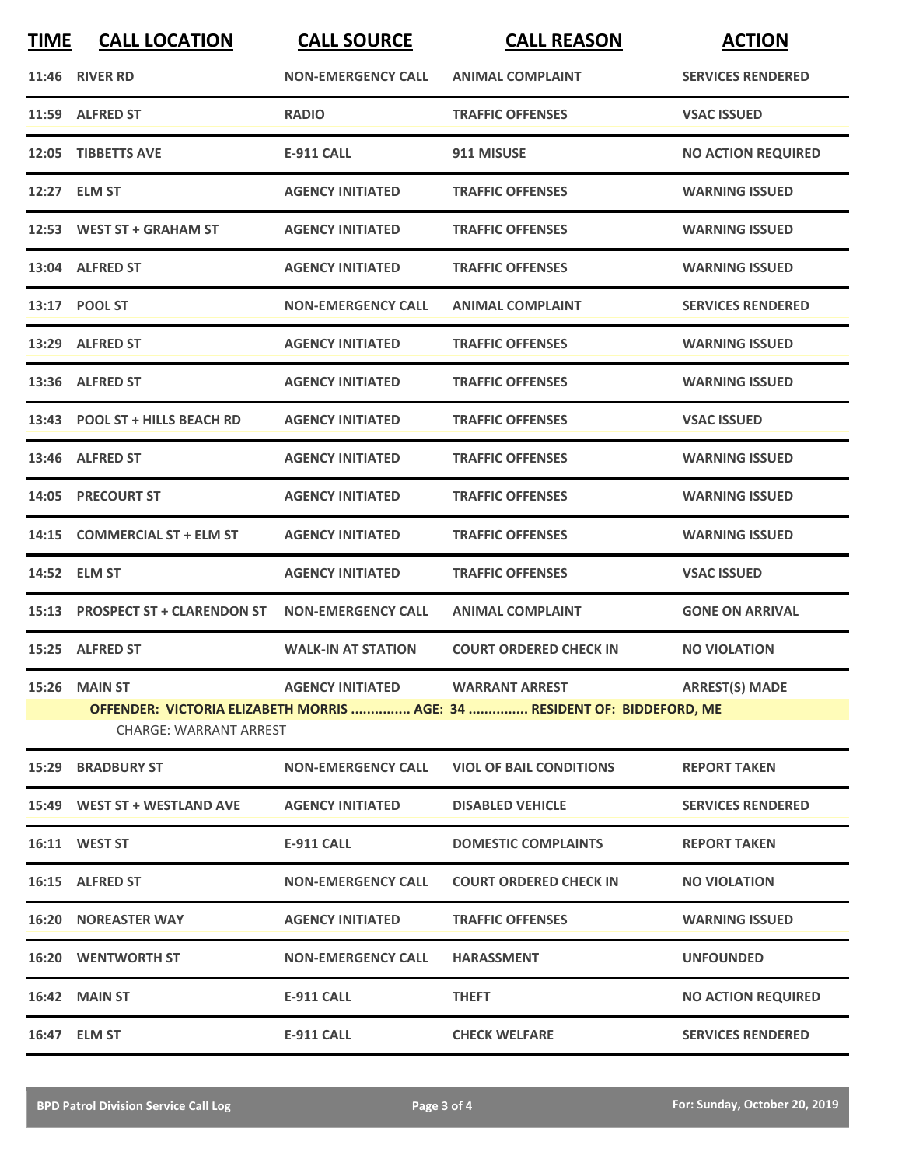| <b>TIME</b> | <b>CALL LOCATION</b>             | <b>CALL SOURCE</b>              | <b>CALL REASON</b>                                                       | <b>ACTION</b>             |
|-------------|----------------------------------|---------------------------------|--------------------------------------------------------------------------|---------------------------|
|             | <b>11:46 RIVER RD</b>            | <b>NON-EMERGENCY CALL</b>       | <b>ANIMAL COMPLAINT</b>                                                  | <b>SERVICES RENDERED</b>  |
|             | 11:59 ALFRED ST                  | <b>RADIO</b>                    | <b>TRAFFIC OFFENSES</b>                                                  | <b>VSAC ISSUED</b>        |
| 12:05       | <b>TIBBETTS AVE</b>              | E-911 CALL                      | 911 MISUSE                                                               | <b>NO ACTION REQUIRED</b> |
|             | 12:27 ELM ST                     | <b>AGENCY INITIATED</b>         | <b>TRAFFIC OFFENSES</b>                                                  | <b>WARNING ISSUED</b>     |
|             | 12:53 WEST ST + GRAHAM ST        | <b>AGENCY INITIATED</b>         | <b>TRAFFIC OFFENSES</b>                                                  | <b>WARNING ISSUED</b>     |
|             | 13:04 ALFRED ST                  | <b>AGENCY INITIATED</b>         | <b>TRAFFIC OFFENSES</b>                                                  | <b>WARNING ISSUED</b>     |
|             | 13:17 POOL ST                    | <b>NON-EMERGENCY CALL</b>       | <b>ANIMAL COMPLAINT</b>                                                  | <b>SERVICES RENDERED</b>  |
|             | 13:29 ALFRED ST                  | <b>AGENCY INITIATED</b>         | <b>TRAFFIC OFFENSES</b>                                                  | <b>WARNING ISSUED</b>     |
|             | 13:36 ALFRED ST                  | <b>AGENCY INITIATED</b>         | <b>TRAFFIC OFFENSES</b>                                                  | <b>WARNING ISSUED</b>     |
|             | 13:43 POOL ST + HILLS BEACH RD   | <b>AGENCY INITIATED</b>         | <b>TRAFFIC OFFENSES</b>                                                  | <b>VSAC ISSUED</b>        |
|             | 13:46 ALFRED ST                  | <b>AGENCY INITIATED</b>         | <b>TRAFFIC OFFENSES</b>                                                  | <b>WARNING ISSUED</b>     |
| 14:05       | <b>PRECOURT ST</b>               | <b>AGENCY INITIATED</b>         | <b>TRAFFIC OFFENSES</b>                                                  | <b>WARNING ISSUED</b>     |
| 14:15       | <b>COMMERCIAL ST + ELM ST</b>    | <b>AGENCY INITIATED</b>         | <b>TRAFFIC OFFENSES</b>                                                  | <b>WARNING ISSUED</b>     |
|             | 14:52 ELM ST                     | <b>AGENCY INITIATED</b>         | <b>TRAFFIC OFFENSES</b>                                                  | <b>VSAC ISSUED</b>        |
|             | 15:13 PROSPECT ST + CLARENDON ST | <b>NON-EMERGENCY CALL</b>       | <b>ANIMAL COMPLAINT</b>                                                  | <b>GONE ON ARRIVAL</b>    |
|             | 15:25 ALFRED ST                  | <b>WALK-IN AT STATION</b>       | <b>COURT ORDERED CHECK IN</b>                                            | <b>NO VIOLATION</b>       |
|             | 15:26 MAIN ST                    | AGENCY INITIATED WARRANT ARREST |                                                                          | <b>ARREST(S) MADE</b>     |
|             | <b>CHARGE: WARRANT ARREST</b>    |                                 | OFFENDER: VICTORIA ELIZABETH MORRIS  AGE: 34  RESIDENT OF: BIDDEFORD, ME |                           |
|             | <b>15:29 BRADBURY ST</b>         | <b>NON-EMERGENCY CALL</b>       | <b>VIOL OF BAIL CONDITIONS</b>                                           | <b>REPORT TAKEN</b>       |
|             | 15:49 WEST ST + WESTLAND AVE     | <b>AGENCY INITIATED</b>         | <b>DISABLED VEHICLE</b>                                                  | <b>SERVICES RENDERED</b>  |
|             | 16:11 WEST ST                    | <b>E-911 CALL</b>               | <b>DOMESTIC COMPLAINTS</b>                                               | <b>REPORT TAKEN</b>       |
|             | 16:15 ALFRED ST                  | <b>NON-EMERGENCY CALL</b>       | <b>COURT ORDERED CHECK IN</b>                                            | <b>NO VIOLATION</b>       |
|             | <b>16:20 NOREASTER WAY</b>       | <b>AGENCY INITIATED</b>         | <b>TRAFFIC OFFENSES</b>                                                  | <b>WARNING ISSUED</b>     |
|             | <b>16:20 WENTWORTH ST</b>        | <b>NON-EMERGENCY CALL</b>       | <b>HARASSMENT</b>                                                        | <b>UNFOUNDED</b>          |
|             | 16:42 MAIN ST                    | <b>E-911 CALL</b>               | <b>THEFT</b>                                                             | <b>NO ACTION REQUIRED</b> |
|             | 16:47 ELM ST                     | <b>E-911 CALL</b>               | <b>CHECK WELFARE</b>                                                     | <b>SERVICES RENDERED</b>  |